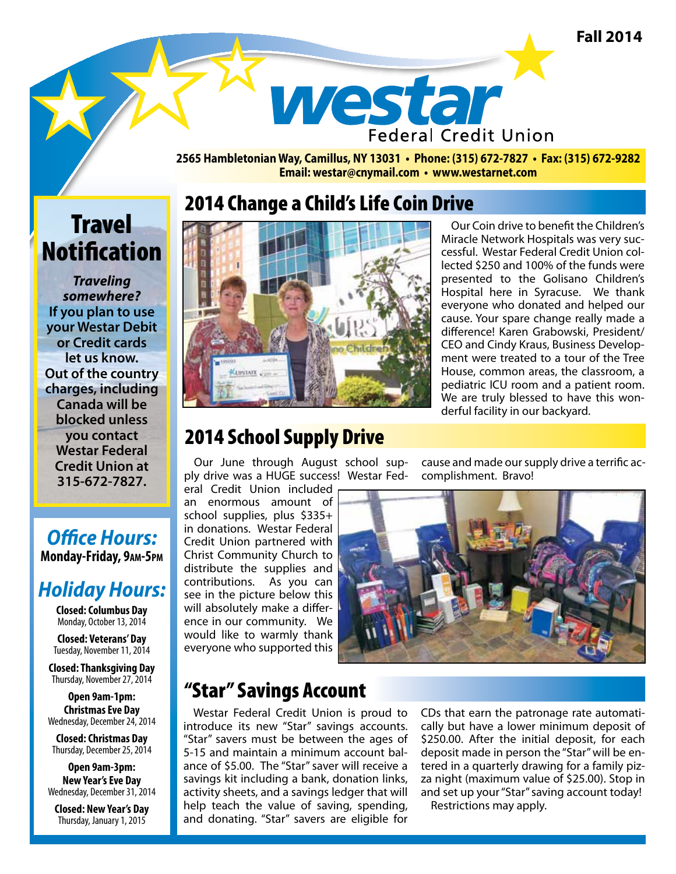**Fall 2014**

westar **Federal Credit Union** 

**2565 Hambletonian Way, Camillus, NY 13031 • Phone: (315) 672-7827 • Fax: (315) 672-9282 Email: westar@cnymail.com • www.westarnet.com**

# **Travel Notification**

*Traveling somewhere?*  **If you plan to use your Westar Debit or Credit cards let us know. Out of the country charges, including Canada will be blocked unless you contact Westar Federal Credit Union at 315-672-7827.**

#### *Office Hours:*  **Monday-Friday, 9am-5pm**

## *Holiday Hours:*

**Closed: Columbus Day** Monday, October 13, 2014

**Closed: Veterans' Day** Tuesday, November 11, 2014

**Closed: Thanksgiving Day** Thursday, November 27, 2014

**Open 9am-1pm: Christmas Eve Day** Wednesday, December 24, 2014

**Closed: Christmas Day** Thursday, December 25, 2014

**Open 9am-3pm: New Year's Eve Day** Wednesday, December 31, 2014

**Closed: New Year's Day** Thursday, January 1, 2015

## 2014 Change a Child's Life Coin Drive



Our Coin drive to benefit the Children's Miracle Network Hospitals was very successful. Westar Federal Credit Union collected \$250 and 100% of the funds were presented to the Golisano Children's Hospital here in Syracuse. We thank everyone who donated and helped our cause. Your spare change really made a difference! Karen Grabowski, President/ CEO and Cindy Kraus, Business Development were treated to a tour of the Tree House, common areas, the classroom, a pediatric ICU room and a patient room. We are truly blessed to have this wonderful facility in our backyard.

## 2014 School Supply Drive

Our June through August school supply drive was a HUGE success! Westar Fed-

eral Credit Union included an enormous amount of school supplies, plus \$335+ in donations. Westar Federal Credit Union partnered with Christ Community Church to distribute the supplies and contributions. As you can see in the picture below this will absolutely make a difference in our community. We would like to warmly thank everyone who supported this cause and made our supply drive a terrific accomplishment. Bravo!



## "Star" Savings Account

Westar Federal Credit Union is proud to introduce its new "Star" savings accounts. "Star" savers must be between the ages of 5-15 and maintain a minimum account balance of \$5.00. The "Star" saver will receive a savings kit including a bank, donation links, activity sheets, and a savings ledger that will help teach the value of saving, spending, and donating. "Star" savers are eligible for

CDs that earn the patronage rate automatically but have a lower minimum deposit of \$250.00. After the initial deposit, for each deposit made in person the "Star" will be entered in a quarterly drawing for a family pizza night (maximum value of \$25.00). Stop in and set up your "Star" saving account today! Restrictions may apply.